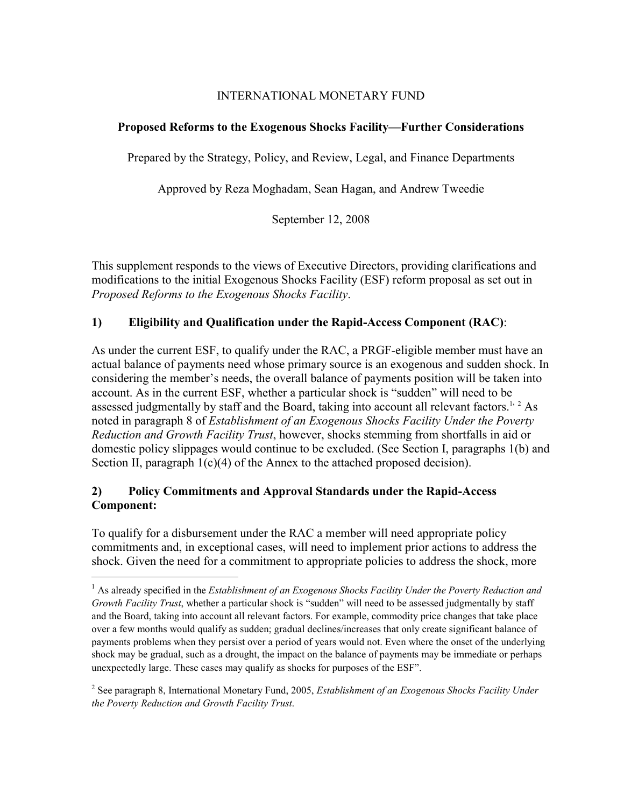# INTERNATIONAL MONETARY FUND

# **Proposed Reforms to the Exogenous Shocks Facility—Further Considerations**

Prepared by the Strategy, Policy, and Review, Legal, and Finance Departments

Approved by Reza Moghadam, Sean Hagan, and Andrew Tweedie

September 12, 2008

This supplement responds to the views of Executive Directors, providing clarifications and modifications to the initial Exogenous Shocks Facility (ESF) reform proposal as set out in *Proposed Reforms to the Exogenous Shocks Facility*.

# **1) Eligibility and Qualification under the Rapid-Access Component (RAC)**:

As under the current ESF, to qualify under the RAC, a PRGF-eligible member must have an actual balance of payments need whose primary source is an exogenous and sudden shock. In considering the member's needs, the overall balance of payments position will be taken into account. As in the current ESF, whether a particular shock is "sudden" will need to be assessed judgmentally by staff and the Board, taking into account all relevant factors.<sup>1, 2</sup> As noted in paragraph 8 of *Establishment of an Exogenous Shocks Facility Under the Poverty Reduction and Growth Facility Trust*, however, shocks stemming from shortfalls in aid or domestic policy slippages would continue to be excluded. (See Section I, paragraphs 1(b) and Section II, paragraph 1(c)(4) of the Annex to the attached proposed decision).

# **2) Policy Commitments and Approval Standards under the Rapid-Access Component:**

1

To qualify for a disbursement under the RAC a member will need appropriate policy commitments and, in exceptional cases, will need to implement prior actions to address the shock. Given the need for a commitment to appropriate policies to address the shock, more

2 See paragraph 8, International Monetary Fund, 2005, *Establishment of an Exogenous Shocks Facility Under the Poverty Reduction and Growth Facility Trust*.

<sup>&</sup>lt;sup>1</sup> As already specified in the *Establishment of an Exogenous Shocks Facility Under the Poverty Reduction and Growth Facility Trust*, whether a particular shock is "sudden" will need to be assessed judgmentally by staff and the Board, taking into account all relevant factors. For example, commodity price changes that take place over a few months would qualify as sudden; gradual declines/increases that only create significant balance of payments problems when they persist over a period of years would not. Even where the onset of the underlying shock may be gradual, such as a drought, the impact on the balance of payments may be immediate or perhaps unexpectedly large. These cases may qualify as shocks for purposes of the ESF".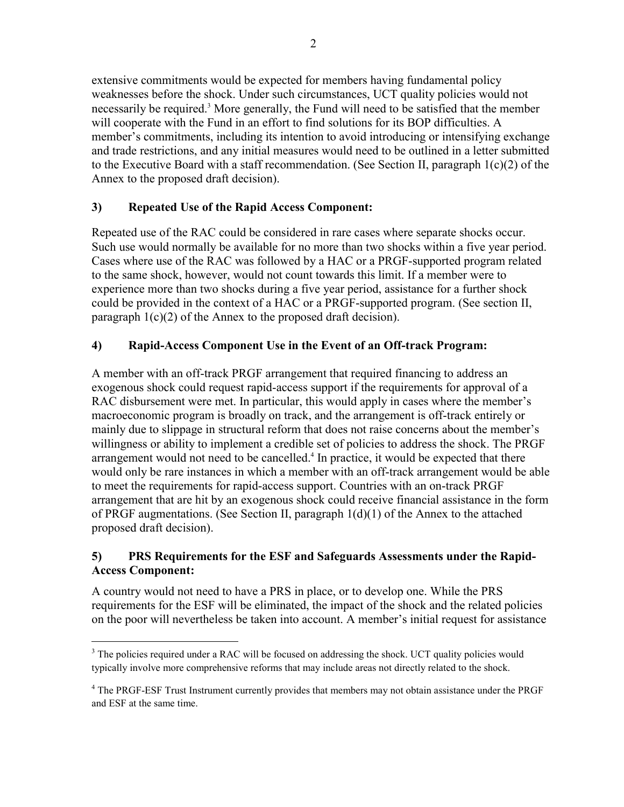extensive commitments would be expected for members having fundamental policy weaknesses before the shock. Under such circumstances, UCT quality policies would not necessarily be required.<sup>3</sup> More generally, the Fund will need to be satisfied that the member will cooperate with the Fund in an effort to find solutions for its BOP difficulties. A member's commitments, including its intention to avoid introducing or intensifying exchange and trade restrictions, and any initial measures would need to be outlined in a letter submitted to the Executive Board with a staff recommendation. (See Section II, paragraph 1(c)(2) of the Annex to the proposed draft decision).

# **3) Repeated Use of the Rapid Access Component:**

Repeated use of the RAC could be considered in rare cases where separate shocks occur. Such use would normally be available for no more than two shocks within a five year period. Cases where use of the RAC was followed by a HAC or a PRGF-supported program related to the same shock, however, would not count towards this limit. If a member were to experience more than two shocks during a five year period, assistance for a further shock could be provided in the context of a HAC or a PRGF-supported program. (See section II, paragraph 1(c)(2) of the Annex to the proposed draft decision).

# **4) Rapid-Access Component Use in the Event of an Off-track Program:**

A member with an off-track PRGF arrangement that required financing to address an exogenous shock could request rapid-access support if the requirements for approval of a RAC disbursement were met. In particular, this would apply in cases where the member's macroeconomic program is broadly on track, and the arrangement is off-track entirely or mainly due to slippage in structural reform that does not raise concerns about the member's willingness or ability to implement a credible set of policies to address the shock. The PRGF arrangement would not need to be cancelled.<sup>4</sup> In practice, it would be expected that there would only be rare instances in which a member with an off-track arrangement would be able to meet the requirements for rapid-access support. Countries with an on-track PRGF arrangement that are hit by an exogenous shock could receive financial assistance in the form of PRGF augmentations. (See Section II, paragraph 1(d)(1) of the Annex to the attached proposed draft decision).

# **5) PRS Requirements for the ESF and Safeguards Assessments under the Rapid-Access Component:**

A country would not need to have a PRS in place, or to develop one. While the PRS requirements for the ESF will be eliminated, the impact of the shock and the related policies on the poor will nevertheless be taken into account. A member's initial request for assistance

 $\overline{a}$ 

 $3$  The policies required under a RAC will be focused on addressing the shock. UCT quality policies would typically involve more comprehensive reforms that may include areas not directly related to the shock.

<sup>&</sup>lt;sup>4</sup> The PRGF-ESF Trust Instrument currently provides that members may not obtain assistance under the PRGF and ESF at the same time.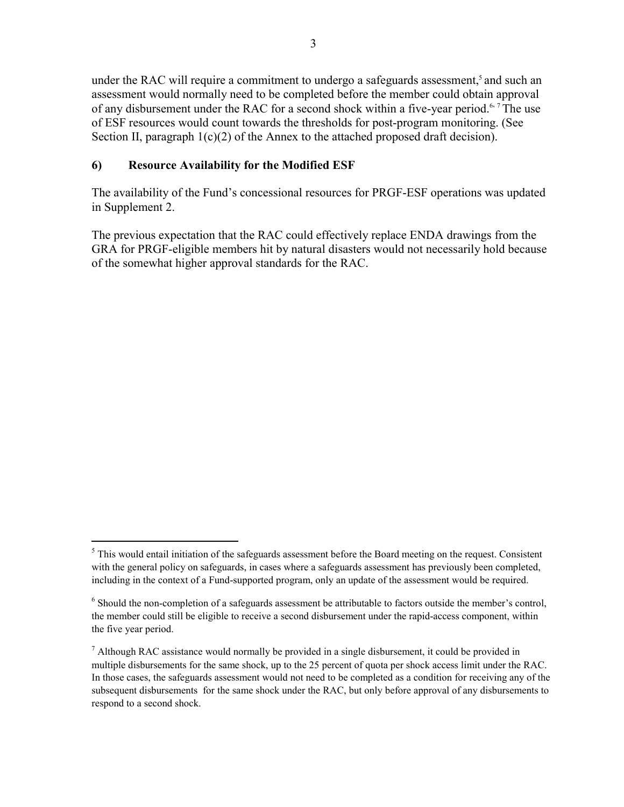under the RAC will require a commitment to undergo a safeguards assessment,<sup>5</sup> and such an assessment would normally need to be completed before the member could obtain approval of any disbursement under the RAC for a second shock within a five-year period.<sup>6,7</sup> The use of ESF resources would count towards the thresholds for post-program monitoring. (See Section II, paragraph  $1(c)(2)$  of the Annex to the attached proposed draft decision).

# **6) Resource Availability for the Modified ESF**

<u>.</u>

The availability of the Fund's concessional resources for PRGF-ESF operations was updated in Supplement 2.

The previous expectation that the RAC could effectively replace ENDA drawings from the GRA for PRGF-eligible members hit by natural disasters would not necessarily hold because of the somewhat higher approval standards for the RAC.

 $<sup>5</sup>$  This would entail initiation of the safeguards assessment before the Board meeting on the request. Consistent</sup> with the general policy on safeguards, in cases where a safeguards assessment has previously been completed, including in the context of a Fund-supported program, only an update of the assessment would be required.

<sup>&</sup>lt;sup>6</sup> Should the non-completion of a safeguards assessment be attributable to factors outside the member's control, the member could still be eligible to receive a second disbursement under the rapid-access component, within the five year period.

 $<sup>7</sup>$  Although RAC assistance would normally be provided in a single disbursement, it could be provided in</sup> multiple disbursements for the same shock, up to the 25 percent of quota per shock access limit under the RAC. In those cases, the safeguards assessment would not need to be completed as a condition for receiving any of the subsequent disbursements for the same shock under the RAC, but only before approval of any disbursements to respond to a second shock.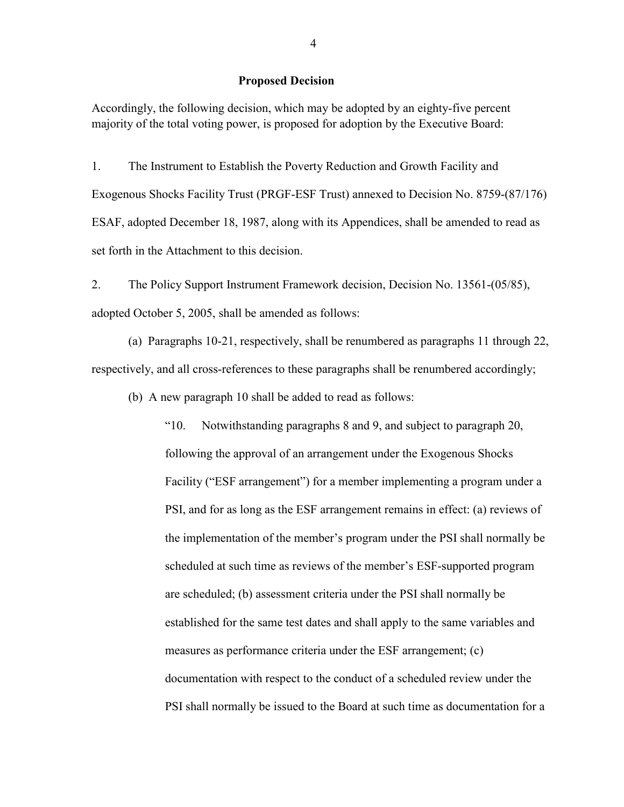#### **Proposed Decision**

Accordingly, the following decision, which may be adopted by an eighty-five percent majority of the total voting power, is proposed for adoption by the Executive Board:

1. The Instrument to Establish the Poverty Reduction and Growth Facility and Exogenous Shocks Facility Trust (PRGF-ESF Trust) annexed to Decision No. 8759-(87/176) ESAF, adopted December 18, 1987, along with its Appendices, shall be amended to read as set forth in the Attachment to this decision.

2. The Policy Support Instrument Framework decision, Decision No. 13561-(05/85), adopted October 5, 2005, shall be amended as follows:

(a) Paragraphs 10-21, respectively, shall be renumbered as paragraphs 11 through 22, respectively, and all cross-references to these paragraphs shall be renumbered accordingly;

(b) A new paragraph 10 shall be added to read as follows:

"10. Notwithstanding paragraphs 8 and 9, and subject to paragraph 20, following the approval of an arrangement under the Exogenous Shocks Facility ("ESF arrangement") for a member implementing a program under a PSI, and for as long as the ESF arrangement remains in effect: (a) reviews of the implementation of the member's program under the PSI shall normally be scheduled at such time as reviews of the member's ESF-supported program are scheduled; (b) assessment criteria under the PSI shall normally be established for the same test dates and shall apply to the same variables and measures as performance criteria under the ESF arrangement; (c) documentation with respect to the conduct of a scheduled review under the PSI shall normally be issued to the Board at such time as documentation for a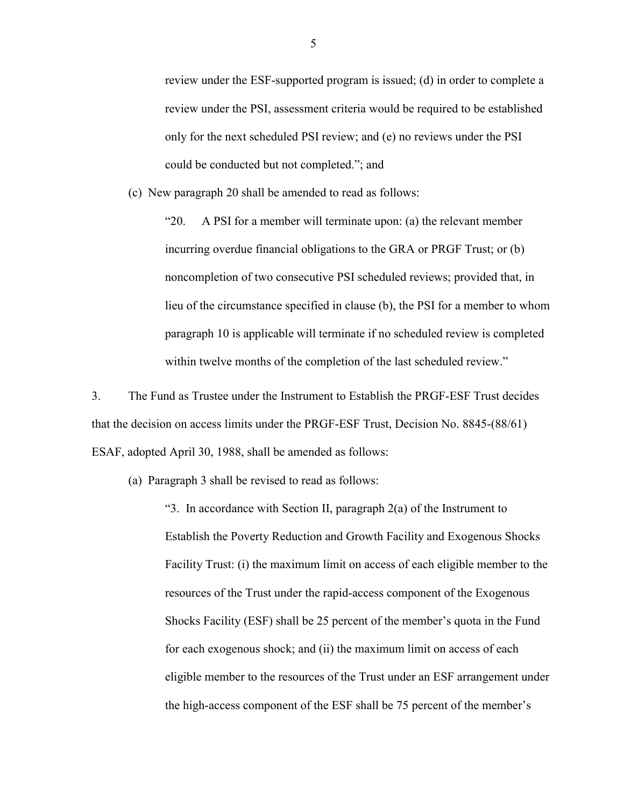review under the ESF-supported program is issued; (d) in order to complete a review under the PSI, assessment criteria would be required to be established only for the next scheduled PSI review; and (e) no reviews under the PSI could be conducted but not completed."; and

(c) New paragraph 20 shall be amended to read as follows:

"20. A PSI for a member will terminate upon: (a) the relevant member incurring overdue financial obligations to the GRA or PRGF Trust; or (b) noncompletion of two consecutive PSI scheduled reviews; provided that, in lieu of the circumstance specified in clause (b), the PSI for a member to whom paragraph 10 is applicable will terminate if no scheduled review is completed within twelve months of the completion of the last scheduled review."

3. The Fund as Trustee under the Instrument to Establish the PRGF-ESF Trust decides that the decision on access limits under the PRGF-ESF Trust, Decision No. 8845-(88/61) ESAF, adopted April 30, 1988, shall be amended as follows:

(a) Paragraph 3 shall be revised to read as follows:

"3. In accordance with Section II, paragraph 2(a) of the Instrument to Establish the Poverty Reduction and Growth Facility and Exogenous Shocks Facility Trust: (i) the maximum limit on access of each eligible member to the resources of the Trust under the rapid-access component of the Exogenous Shocks Facility (ESF) shall be 25 percent of the member's quota in the Fund for each exogenous shock; and (ii) the maximum limit on access of each eligible member to the resources of the Trust under an ESF arrangement under the high-access component of the ESF shall be 75 percent of the member's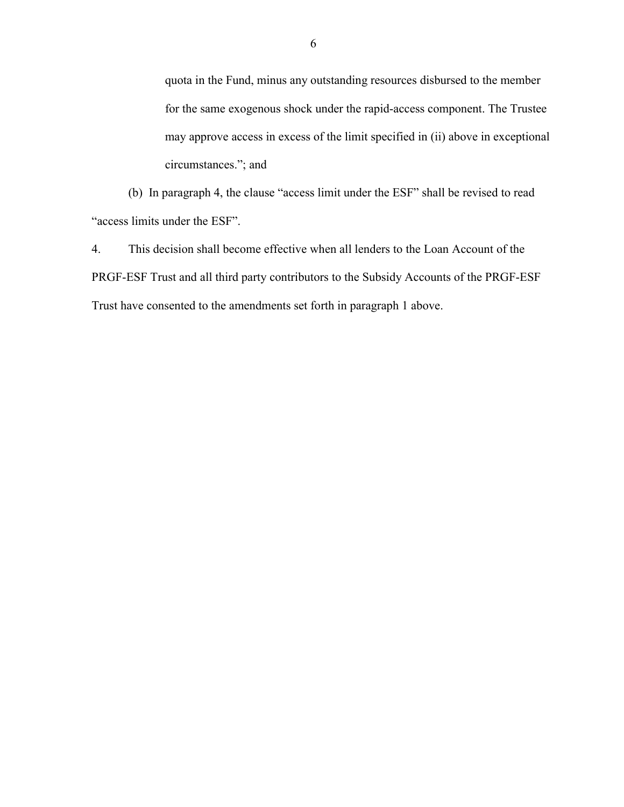quota in the Fund, minus any outstanding resources disbursed to the member for the same exogenous shock under the rapid-access component. The Trustee may approve access in excess of the limit specified in (ii) above in exceptional circumstances."; and

(b) In paragraph 4, the clause "access limit under the ESF" shall be revised to read "access limits under the ESF".

4. This decision shall become effective when all lenders to the Loan Account of the PRGF-ESF Trust and all third party contributors to the Subsidy Accounts of the PRGF-ESF Trust have consented to the amendments set forth in paragraph 1 above.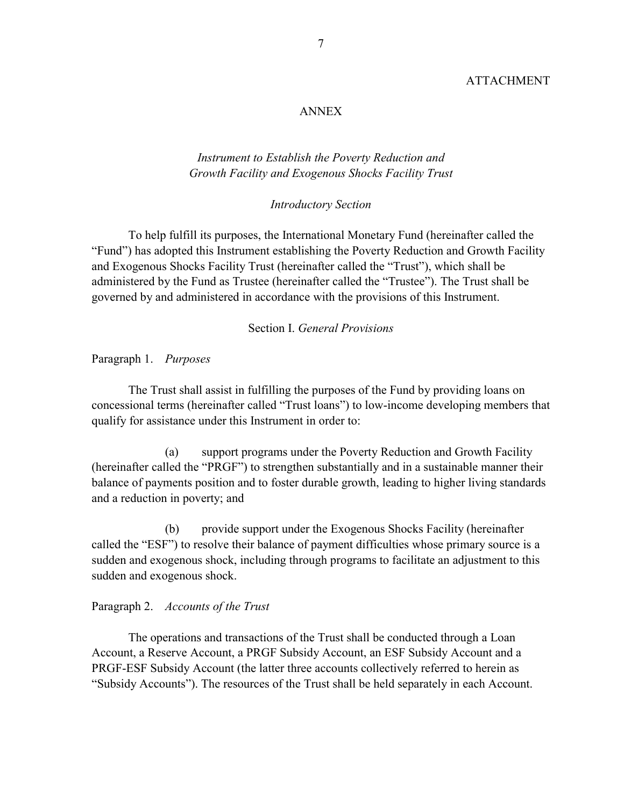### ANNEX

### *Instrument to Establish the Poverty Reduction and Growth Facility and Exogenous Shocks Facility Trust*

#### *Introductory Section*

To help fulfill its purposes, the International Monetary Fund (hereinafter called the "Fund") has adopted this Instrument establishing the Poverty Reduction and Growth Facility and Exogenous Shocks Facility Trust (hereinafter called the "Trust"), which shall be administered by the Fund as Trustee (hereinafter called the "Trustee"). The Trust shall be governed by and administered in accordance with the provisions of this Instrument.

### Section I. *General Provisions*

Paragraph 1. *Purposes* 

The Trust shall assist in fulfilling the purposes of the Fund by providing loans on concessional terms (hereinafter called "Trust loans") to low-income developing members that qualify for assistance under this Instrument in order to:

 (a) support programs under the Poverty Reduction and Growth Facility (hereinafter called the "PRGF") to strengthen substantially and in a sustainable manner their balance of payments position and to foster durable growth, leading to higher living standards and a reduction in poverty; and

 (b) provide support under the Exogenous Shocks Facility (hereinafter called the "ESF") to resolve their balance of payment difficulties whose primary source is a sudden and exogenous shock, including through programs to facilitate an adjustment to this sudden and exogenous shock.

#### Paragraph 2. *Accounts of the Trust*

The operations and transactions of the Trust shall be conducted through a Loan Account, a Reserve Account, a PRGF Subsidy Account, an ESF Subsidy Account and a PRGF-ESF Subsidy Account (the latter three accounts collectively referred to herein as "Subsidy Accounts"). The resources of the Trust shall be held separately in each Account.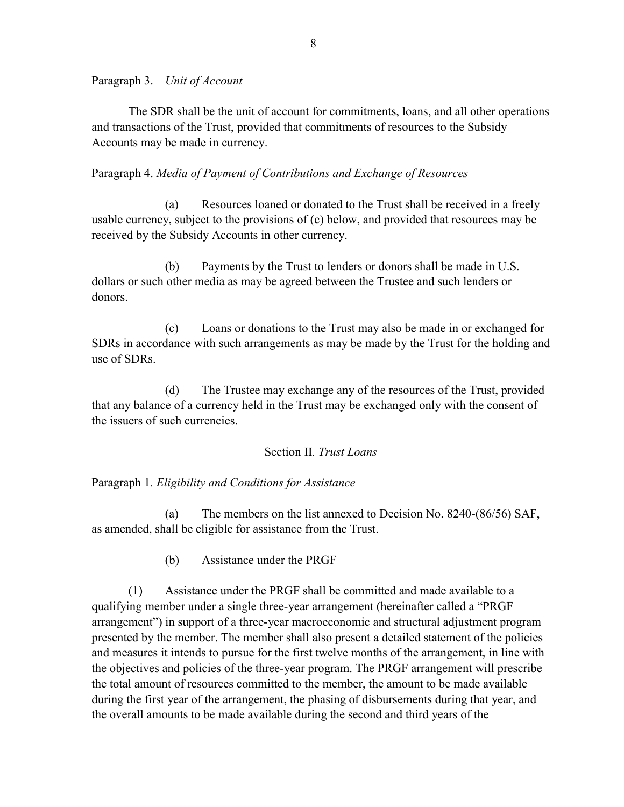Paragraph 3. *Unit of Account* 

The SDR shall be the unit of account for commitments, loans, and all other operations and transactions of the Trust, provided that commitments of resources to the Subsidy Accounts may be made in currency.

Paragraph 4. *Media of Payment of Contributions and Exchange of Resources* 

 (a) Resources loaned or donated to the Trust shall be received in a freely usable currency, subject to the provisions of (c) below, and provided that resources may be received by the Subsidy Accounts in other currency.

 (b) Payments by the Trust to lenders or donors shall be made in U.S. dollars or such other media as may be agreed between the Trustee and such lenders or donors.

 (c) Loans or donations to the Trust may also be made in or exchanged for SDRs in accordance with such arrangements as may be made by the Trust for the holding and use of SDRs.

 (d) The Trustee may exchange any of the resources of the Trust, provided that any balance of a currency held in the Trust may be exchanged only with the consent of the issuers of such currencies.

# Section II*. Trust Loans*

Paragraph 1*. Eligibility and Conditions for Assistance* 

 (a) The members on the list annexed to Decision No. 8240-(86/56) SAF, as amended, shall be eligible for assistance from the Trust.

(b) Assistance under the PRGF

(1) Assistance under the PRGF shall be committed and made available to a qualifying member under a single three-year arrangement (hereinafter called a "PRGF arrangement") in support of a three-year macroeconomic and structural adjustment program presented by the member. The member shall also present a detailed statement of the policies and measures it intends to pursue for the first twelve months of the arrangement, in line with the objectives and policies of the three-year program. The PRGF arrangement will prescribe the total amount of resources committed to the member, the amount to be made available during the first year of the arrangement, the phasing of disbursements during that year, and the overall amounts to be made available during the second and third years of the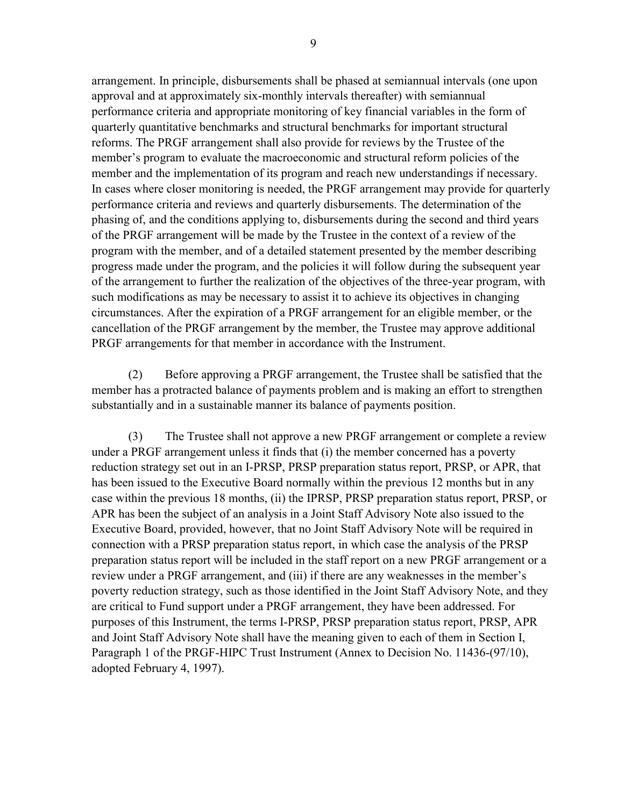arrangement. In principle, disbursements shall be phased at semiannual intervals (one upon approval and at approximately six-monthly intervals thereafter) with semiannual performance criteria and appropriate monitoring of key financial variables in the form of quarterly quantitative benchmarks and structural benchmarks for important structural reforms. The PRGF arrangement shall also provide for reviews by the Trustee of the member's program to evaluate the macroeconomic and structural reform policies of the member and the implementation of its program and reach new understandings if necessary. In cases where closer monitoring is needed, the PRGF arrangement may provide for quarterly performance criteria and reviews and quarterly disbursements. The determination of the phasing of, and the conditions applying to, disbursements during the second and third years of the PRGF arrangement will be made by the Trustee in the context of a review of the program with the member, and of a detailed statement presented by the member describing progress made under the program, and the policies it will follow during the subsequent year of the arrangement to further the realization of the objectives of the three-year program, with such modifications as may be necessary to assist it to achieve its objectives in changing circumstances. After the expiration of a PRGF arrangement for an eligible member, or the cancellation of the PRGF arrangement by the member, the Trustee may approve additional PRGF arrangements for that member in accordance with the Instrument.

(2) Before approving a PRGF arrangement, the Trustee shall be satisfied that the member has a protracted balance of payments problem and is making an effort to strengthen substantially and in a sustainable manner its balance of payments position.

(3) The Trustee shall not approve a new PRGF arrangement or complete a review under a PRGF arrangement unless it finds that (i) the member concerned has a poverty reduction strategy set out in an I-PRSP, PRSP preparation status report, PRSP, or APR, that has been issued to the Executive Board normally within the previous 12 months but in any case within the previous 18 months, (ii) the IPRSP, PRSP preparation status report, PRSP, or APR has been the subject of an analysis in a Joint Staff Advisory Note also issued to the Executive Board, provided, however, that no Joint Staff Advisory Note will be required in connection with a PRSP preparation status report, in which case the analysis of the PRSP preparation status report will be included in the staff report on a new PRGF arrangement or a review under a PRGF arrangement, and (iii) if there are any weaknesses in the member's poverty reduction strategy, such as those identified in the Joint Staff Advisory Note, and they are critical to Fund support under a PRGF arrangement, they have been addressed. For purposes of this Instrument, the terms I-PRSP, PRSP preparation status report, PRSP, APR and Joint Staff Advisory Note shall have the meaning given to each of them in Section I, Paragraph 1 of the PRGF-HIPC Trust Instrument (Annex to Decision No. 11436-(97/10), adopted February 4, 1997).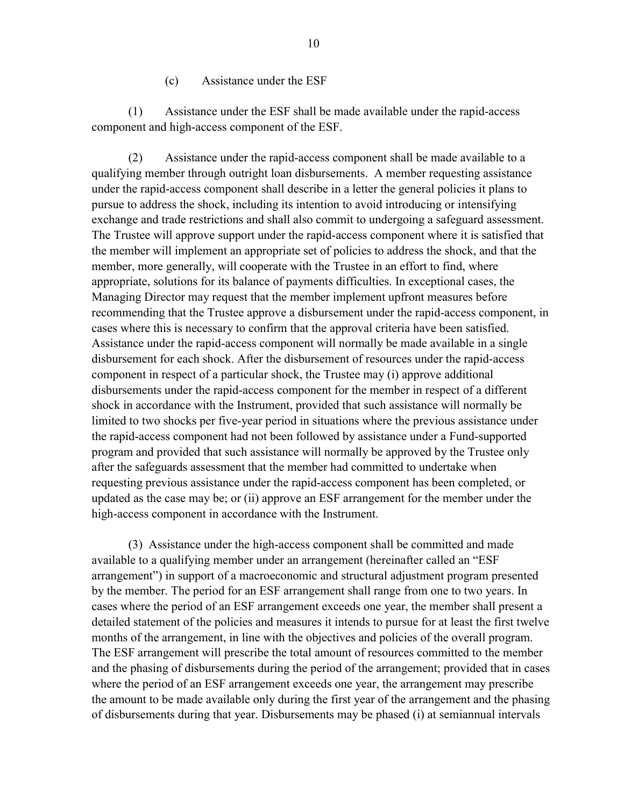#### (c) Assistance under the ESF

(1) Assistance under the ESF shall be made available under the rapid-access component and high-access component of the ESF.

(2) Assistance under the rapid-access component shall be made available to a qualifying member through outright loan disbursements. A member requesting assistance under the rapid-access component shall describe in a letter the general policies it plans to pursue to address the shock, including its intention to avoid introducing or intensifying exchange and trade restrictions and shall also commit to undergoing a safeguard assessment. The Trustee will approve support under the rapid-access component where it is satisfied that the member will implement an appropriate set of policies to address the shock, and that the member, more generally, will cooperate with the Trustee in an effort to find, where appropriate, solutions for its balance of payments difficulties. In exceptional cases, the Managing Director may request that the member implement upfront measures before recommending that the Trustee approve a disbursement under the rapid-access component, in cases where this is necessary to confirm that the approval criteria have been satisfied. Assistance under the rapid-access component will normally be made available in a single disbursement for each shock. After the disbursement of resources under the rapid-access component in respect of a particular shock, the Trustee may (i) approve additional disbursements under the rapid-access component for the member in respect of a different shock in accordance with the Instrument, provided that such assistance will normally be limited to two shocks per five-year period in situations where the previous assistance under the rapid-access component had not been followed by assistance under a Fund-supported program and provided that such assistance will normally be approved by the Trustee only after the safeguards assessment that the member had committed to undertake when requesting previous assistance under the rapid-access component has been completed, or updated as the case may be; or (ii) approve an ESF arrangement for the member under the high-access component in accordance with the Instrument.

(3) Assistance under the high-access component shall be committed and made available to a qualifying member under an arrangement (hereinafter called an "ESF arrangement") in support of a macroeconomic and structural adjustment program presented by the member. The period for an ESF arrangement shall range from one to two years. In cases where the period of an ESF arrangement exceeds one year, the member shall present a detailed statement of the policies and measures it intends to pursue for at least the first twelve months of the arrangement, in line with the objectives and policies of the overall program. The ESF arrangement will prescribe the total amount of resources committed to the member and the phasing of disbursements during the period of the arrangement; provided that in cases where the period of an ESF arrangement exceeds one year, the arrangement may prescribe the amount to be made available only during the first year of the arrangement and the phasing of disbursements during that year. Disbursements may be phased (i) at semiannual intervals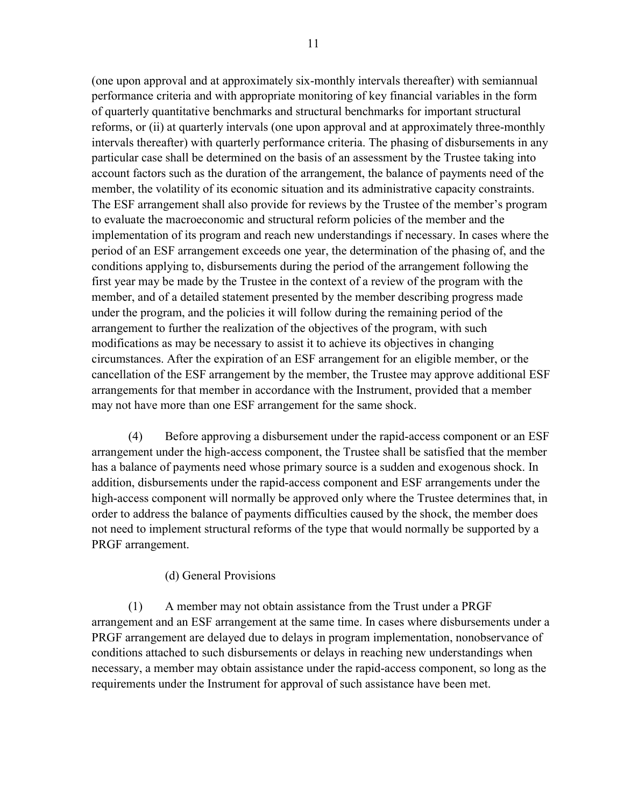(one upon approval and at approximately six-monthly intervals thereafter) with semiannual performance criteria and with appropriate monitoring of key financial variables in the form of quarterly quantitative benchmarks and structural benchmarks for important structural reforms, or (ii) at quarterly intervals (one upon approval and at approximately three-monthly intervals thereafter) with quarterly performance criteria. The phasing of disbursements in any particular case shall be determined on the basis of an assessment by the Trustee taking into account factors such as the duration of the arrangement, the balance of payments need of the member, the volatility of its economic situation and its administrative capacity constraints. The ESF arrangement shall also provide for reviews by the Trustee of the member's program to evaluate the macroeconomic and structural reform policies of the member and the implementation of its program and reach new understandings if necessary. In cases where the period of an ESF arrangement exceeds one year, the determination of the phasing of, and the conditions applying to, disbursements during the period of the arrangement following the first year may be made by the Trustee in the context of a review of the program with the member, and of a detailed statement presented by the member describing progress made under the program, and the policies it will follow during the remaining period of the arrangement to further the realization of the objectives of the program, with such modifications as may be necessary to assist it to achieve its objectives in changing circumstances. After the expiration of an ESF arrangement for an eligible member, or the cancellation of the ESF arrangement by the member, the Trustee may approve additional ESF arrangements for that member in accordance with the Instrument, provided that a member may not have more than one ESF arrangement for the same shock.

(4) Before approving a disbursement under the rapid-access component or an ESF arrangement under the high-access component, the Trustee shall be satisfied that the member has a balance of payments need whose primary source is a sudden and exogenous shock. In addition, disbursements under the rapid-access component and ESF arrangements under the high-access component will normally be approved only where the Trustee determines that, in order to address the balance of payments difficulties caused by the shock, the member does not need to implement structural reforms of the type that would normally be supported by a PRGF arrangement.

### (d) General Provisions

(1) A member may not obtain assistance from the Trust under a PRGF arrangement and an ESF arrangement at the same time. In cases where disbursements under a PRGF arrangement are delayed due to delays in program implementation, nonobservance of conditions attached to such disbursements or delays in reaching new understandings when necessary, a member may obtain assistance under the rapid-access component, so long as the requirements under the Instrument for approval of such assistance have been met.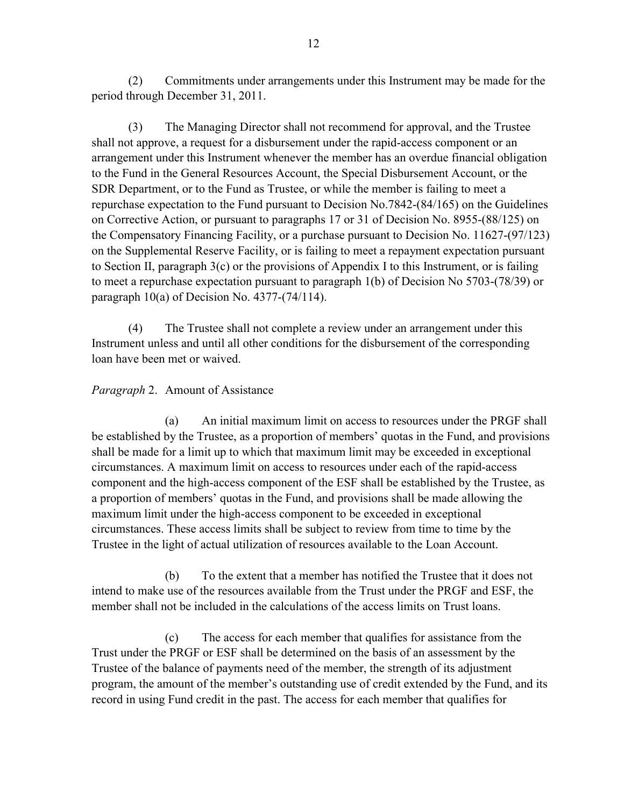(2) Commitments under arrangements under this Instrument may be made for the period through December 31, 2011.

(3) The Managing Director shall not recommend for approval, and the Trustee shall not approve, a request for a disbursement under the rapid-access component or an arrangement under this Instrument whenever the member has an overdue financial obligation to the Fund in the General Resources Account, the Special Disbursement Account, or the SDR Department, or to the Fund as Trustee, or while the member is failing to meet a repurchase expectation to the Fund pursuant to Decision No.7842-(84/165) on the Guidelines on Corrective Action, or pursuant to paragraphs 17 or 31 of Decision No. 8955-(88/125) on the Compensatory Financing Facility, or a purchase pursuant to Decision No. 11627-(97/123) on the Supplemental Reserve Facility, or is failing to meet a repayment expectation pursuant to Section II, paragraph 3(c) or the provisions of Appendix I to this Instrument, or is failing to meet a repurchase expectation pursuant to paragraph 1(b) of Decision No 5703-(78/39) or paragraph 10(a) of Decision No. 4377-(74/114).

(4) The Trustee shall not complete a review under an arrangement under this Instrument unless and until all other conditions for the disbursement of the corresponding loan have been met or waived.

# *Paragraph* 2. Amount of Assistance

 (a) An initial maximum limit on access to resources under the PRGF shall be established by the Trustee, as a proportion of members' quotas in the Fund, and provisions shall be made for a limit up to which that maximum limit may be exceeded in exceptional circumstances. A maximum limit on access to resources under each of the rapid-access component and the high-access component of the ESF shall be established by the Trustee, as a proportion of members' quotas in the Fund, and provisions shall be made allowing the maximum limit under the high-access component to be exceeded in exceptional circumstances. These access limits shall be subject to review from time to time by the Trustee in the light of actual utilization of resources available to the Loan Account.

 (b) To the extent that a member has notified the Trustee that it does not intend to make use of the resources available from the Trust under the PRGF and ESF, the member shall not be included in the calculations of the access limits on Trust loans.

 (c) The access for each member that qualifies for assistance from the Trust under the PRGF or ESF shall be determined on the basis of an assessment by the Trustee of the balance of payments need of the member, the strength of its adjustment program, the amount of the member's outstanding use of credit extended by the Fund, and its record in using Fund credit in the past. The access for each member that qualifies for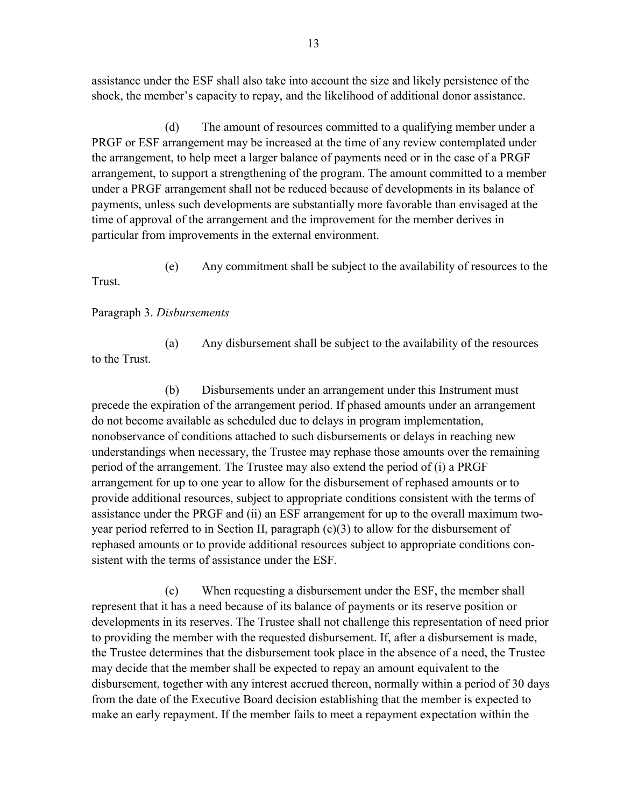assistance under the ESF shall also take into account the size and likely persistence of the shock, the member's capacity to repay, and the likelihood of additional donor assistance.

 (d) The amount of resources committed to a qualifying member under a PRGF or ESF arrangement may be increased at the time of any review contemplated under the arrangement, to help meet a larger balance of payments need or in the case of a PRGF arrangement, to support a strengthening of the program. The amount committed to a member under a PRGF arrangement shall not be reduced because of developments in its balance of payments, unless such developments are substantially more favorable than envisaged at the time of approval of the arrangement and the improvement for the member derives in particular from improvements in the external environment.

 (e) Any commitment shall be subject to the availability of resources to the Trust.

### Paragraph 3. *Disbursements*

 (a) Any disbursement shall be subject to the availability of the resources to the Trust.

 (b) Disbursements under an arrangement under this Instrument must precede the expiration of the arrangement period. If phased amounts under an arrangement do not become available as scheduled due to delays in program implementation, nonobservance of conditions attached to such disbursements or delays in reaching new understandings when necessary, the Trustee may rephase those amounts over the remaining period of the arrangement. The Trustee may also extend the period of (i) a PRGF arrangement for up to one year to allow for the disbursement of rephased amounts or to provide additional resources, subject to appropriate conditions consistent with the terms of assistance under the PRGF and (ii) an ESF arrangement for up to the overall maximum twoyear period referred to in Section II, paragraph (c)(3) to allow for the disbursement of rephased amounts or to provide additional resources subject to appropriate conditions consistent with the terms of assistance under the ESF.

 (c) When requesting a disbursement under the ESF, the member shall represent that it has a need because of its balance of payments or its reserve position or developments in its reserves. The Trustee shall not challenge this representation of need prior to providing the member with the requested disbursement. If, after a disbursement is made, the Trustee determines that the disbursement took place in the absence of a need, the Trustee may decide that the member shall be expected to repay an amount equivalent to the disbursement, together with any interest accrued thereon, normally within a period of 30 days from the date of the Executive Board decision establishing that the member is expected to make an early repayment. If the member fails to meet a repayment expectation within the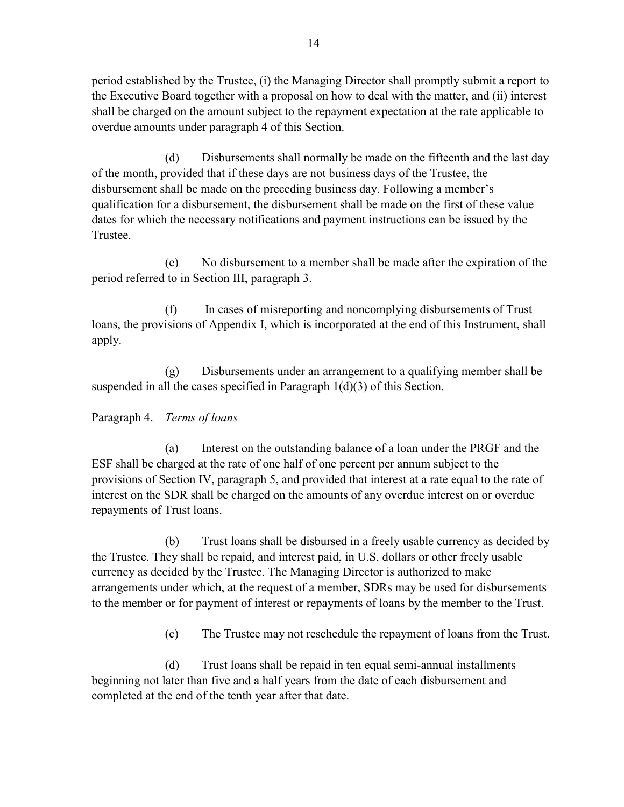period established by the Trustee, (i) the Managing Director shall promptly submit a report to the Executive Board together with a proposal on how to deal with the matter, and (ii) interest shall be charged on the amount subject to the repayment expectation at the rate applicable to overdue amounts under paragraph 4 of this Section.

 (d) Disbursements shall normally be made on the fifteenth and the last day of the month, provided that if these days are not business days of the Trustee, the disbursement shall be made on the preceding business day. Following a member's qualification for a disbursement, the disbursement shall be made on the first of these value dates for which the necessary notifications and payment instructions can be issued by the Trustee.

 (e) No disbursement to a member shall be made after the expiration of the period referred to in Section III, paragraph 3.

 (f) In cases of misreporting and noncomplying disbursements of Trust loans, the provisions of Appendix I, which is incorporated at the end of this Instrument, shall apply.

 (g) Disbursements under an arrangement to a qualifying member shall be suspended in all the cases specified in Paragraph  $1(d)(3)$  of this Section.

Paragraph 4. *Terms of loans* 

 (a) Interest on the outstanding balance of a loan under the PRGF and the ESF shall be charged at the rate of one half of one percent per annum subject to the provisions of Section IV, paragraph 5, and provided that interest at a rate equal to the rate of interest on the SDR shall be charged on the amounts of any overdue interest on or overdue repayments of Trust loans.

 (b) Trust loans shall be disbursed in a freely usable currency as decided by the Trustee. They shall be repaid, and interest paid, in U.S. dollars or other freely usable currency as decided by the Trustee. The Managing Director is authorized to make arrangements under which, at the request of a member, SDRs may be used for disbursements to the member or for payment of interest or repayments of loans by the member to the Trust.

(c) The Trustee may not reschedule the repayment of loans from the Trust.

 (d) Trust loans shall be repaid in ten equal semi-annual installments beginning not later than five and a half years from the date of each disbursement and completed at the end of the tenth year after that date.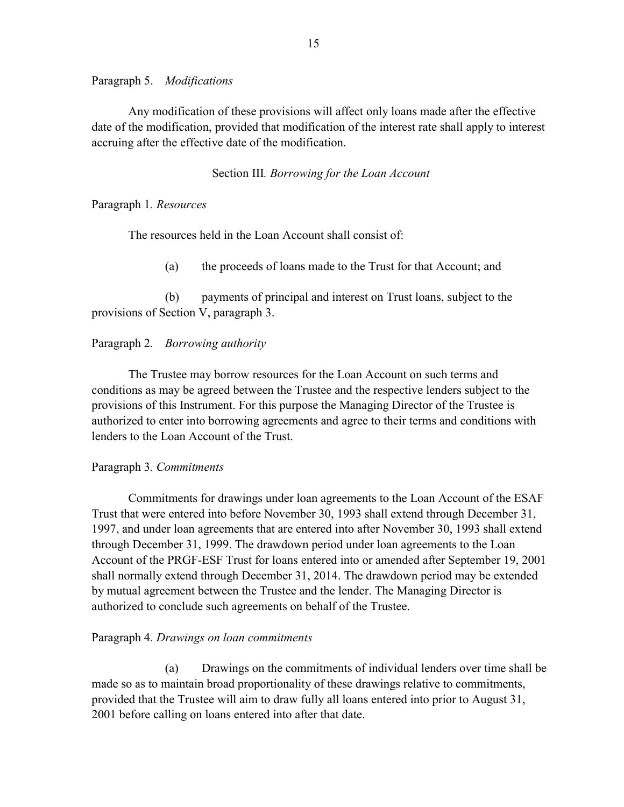Paragraph 5. *Modifications* 

Any modification of these provisions will affect only loans made after the effective date of the modification, provided that modification of the interest rate shall apply to interest accruing after the effective date of the modification.

### Section III*. Borrowing for the Loan Account*

Paragraph 1*. Resources* 

The resources held in the Loan Account shall consist of:

(a) the proceeds of loans made to the Trust for that Account; and

 (b) payments of principal and interest on Trust loans, subject to the provisions of Section V, paragraph 3.

### Paragraph 2*. Borrowing authority*

The Trustee may borrow resources for the Loan Account on such terms and conditions as may be agreed between the Trustee and the respective lenders subject to the provisions of this Instrument. For this purpose the Managing Director of the Trustee is authorized to enter into borrowing agreements and agree to their terms and conditions with lenders to the Loan Account of the Trust.

### Paragraph 3*. Commitments*

Commitments for drawings under loan agreements to the Loan Account of the ESAF Trust that were entered into before November 30, 1993 shall extend through December 31, 1997, and under loan agreements that are entered into after November 30, 1993 shall extend through December 31, 1999. The drawdown period under loan agreements to the Loan Account of the PRGF-ESF Trust for loans entered into or amended after September 19, 2001 shall normally extend through December 31, 2014. The drawdown period may be extended by mutual agreement between the Trustee and the lender. The Managing Director is authorized to conclude such agreements on behalf of the Trustee.

#### Paragraph 4*. Drawings on loan commitments*

(a) Drawings on the commitments of individual lenders over time shall be made so as to maintain broad proportionality of these drawings relative to commitments, provided that the Trustee will aim to draw fully all loans entered into prior to August 31, 2001 before calling on loans entered into after that date.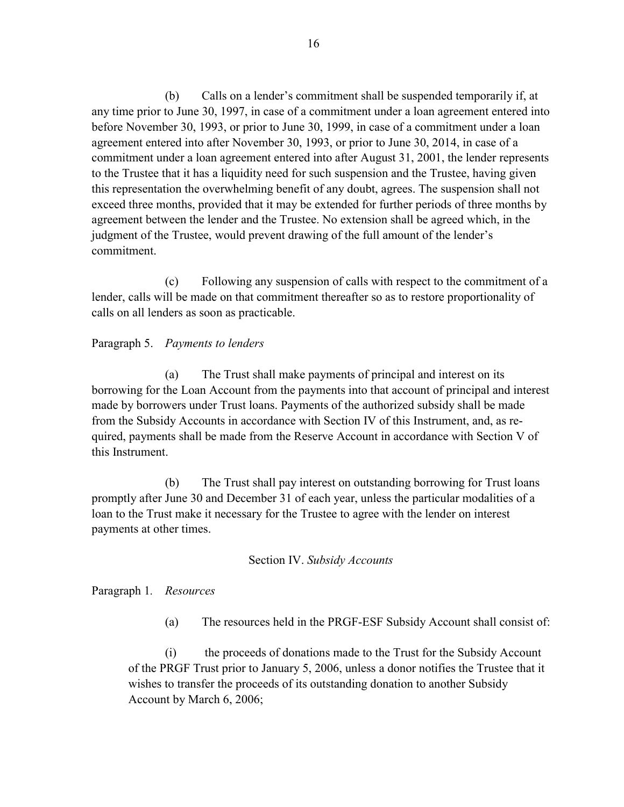(b) Calls on a lender's commitment shall be suspended temporarily if, at any time prior to June 30, 1997, in case of a commitment under a loan agreement entered into before November 30, 1993, or prior to June 30, 1999, in case of a commitment under a loan agreement entered into after November 30, 1993, or prior to June 30, 2014, in case of a commitment under a loan agreement entered into after August 31, 2001, the lender represents to the Trustee that it has a liquidity need for such suspension and the Trustee, having given this representation the overwhelming benefit of any doubt, agrees. The suspension shall not exceed three months, provided that it may be extended for further periods of three months by agreement between the lender and the Trustee. No extension shall be agreed which, in the judgment of the Trustee, would prevent drawing of the full amount of the lender's commitment.

 (c) Following any suspension of calls with respect to the commitment of a lender, calls will be made on that commitment thereafter so as to restore proportionality of calls on all lenders as soon as practicable.

### Paragraph 5. *Payments to lenders*

(a) The Trust shall make payments of principal and interest on its borrowing for the Loan Account from the payments into that account of principal and interest made by borrowers under Trust loans. Payments of the authorized subsidy shall be made from the Subsidy Accounts in accordance with Section IV of this Instrument, and, as required, payments shall be made from the Reserve Account in accordance with Section V of this Instrument.

 (b) The Trust shall pay interest on outstanding borrowing for Trust loans promptly after June 30 and December 31 of each year, unless the particular modalities of a loan to the Trust make it necessary for the Trustee to agree with the lender on interest payments at other times.

### Section IV. *Subsidy Accounts*

### Paragraph 1*. Resources*

(a) The resources held in the PRGF-ESF Subsidy Account shall consist of:

 (i) the proceeds of donations made to the Trust for the Subsidy Account of the PRGF Trust prior to January 5, 2006, unless a donor notifies the Trustee that it wishes to transfer the proceeds of its outstanding donation to another Subsidy Account by March 6, 2006;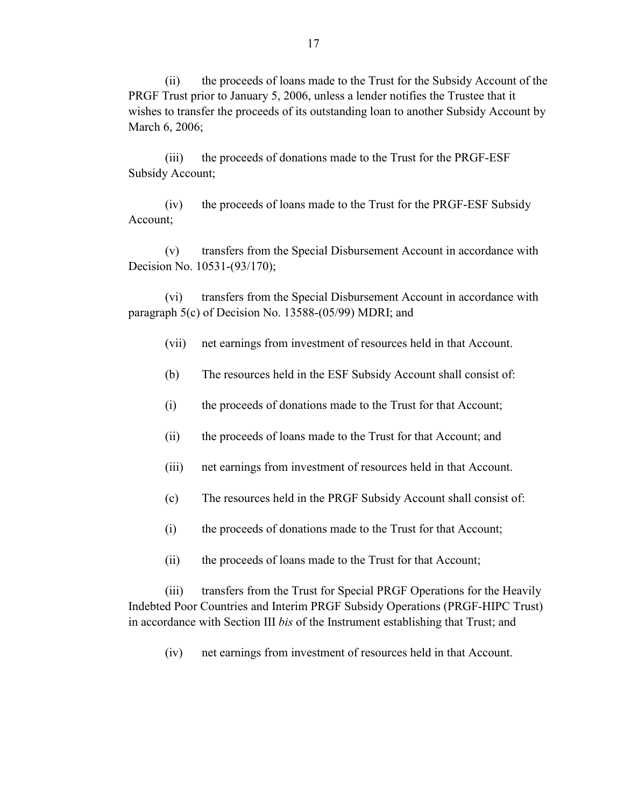(ii) the proceeds of loans made to the Trust for the Subsidy Account of the PRGF Trust prior to January 5, 2006, unless a lender notifies the Trustee that it wishes to transfer the proceeds of its outstanding loan to another Subsidy Account by March 6, 2006;

 (iii) the proceeds of donations made to the Trust for the PRGF-ESF Subsidy Account;

 (iv) the proceeds of loans made to the Trust for the PRGF-ESF Subsidy Account;

 (v) transfers from the Special Disbursement Account in accordance with Decision No. 10531-(93/170);

 (vi) transfers from the Special Disbursement Account in accordance with paragraph 5(c) of Decision No. 13588-(05/99) MDRI; and

- (vii) net earnings from investment of resources held in that Account.
- (b) The resources held in the ESF Subsidy Account shall consist of:
- (i) the proceeds of donations made to the Trust for that Account;
- (ii) the proceeds of loans made to the Trust for that Account; and
- (iii) net earnings from investment of resources held in that Account.
- (c) The resources held in the PRGF Subsidy Account shall consist of:
- (i) the proceeds of donations made to the Trust for that Account;
- (ii) the proceeds of loans made to the Trust for that Account;

 (iii) transfers from the Trust for Special PRGF Operations for the Heavily Indebted Poor Countries and Interim PRGF Subsidy Operations (PRGF-HIPC Trust) in accordance with Section III *bis* of the Instrument establishing that Trust; and

(iv) net earnings from investment of resources held in that Account.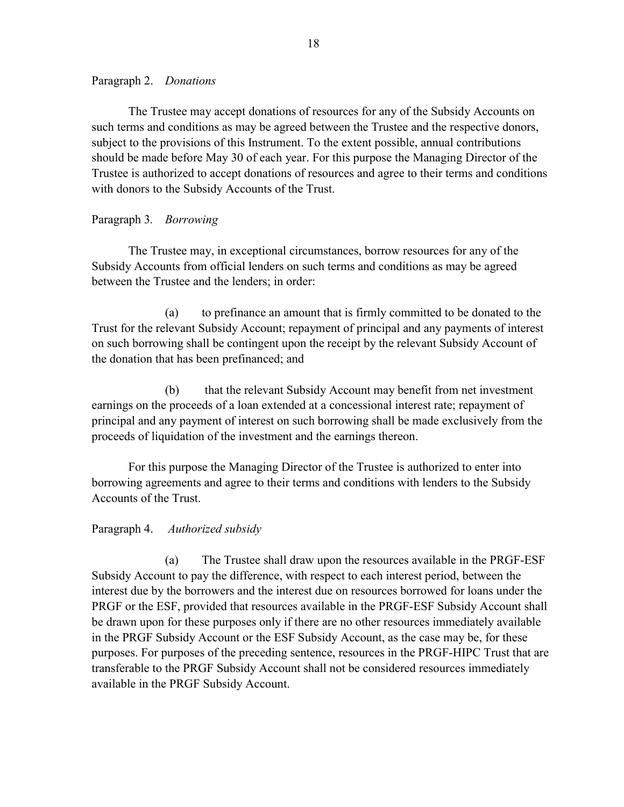### Paragraph 2. *Donations*

The Trustee may accept donations of resources for any of the Subsidy Accounts on such terms and conditions as may be agreed between the Trustee and the respective donors, subject to the provisions of this Instrument. To the extent possible, annual contributions should be made before May 30 of each year. For this purpose the Managing Director of the Trustee is authorized to accept donations of resources and agree to their terms and conditions with donors to the Subsidy Accounts of the Trust.

### Paragraph 3*. Borrowing*

The Trustee may, in exceptional circumstances, borrow resources for any of the Subsidy Accounts from official lenders on such terms and conditions as may be agreed between the Trustee and the lenders; in order:

 (a) to prefinance an amount that is firmly committed to be donated to the Trust for the relevant Subsidy Account; repayment of principal and any payments of interest on such borrowing shall be contingent upon the receipt by the relevant Subsidy Account of the donation that has been prefinanced; and

 (b) that the relevant Subsidy Account may benefit from net investment earnings on the proceeds of a loan extended at a concessional interest rate; repayment of principal and any payment of interest on such borrowing shall be made exclusively from the proceeds of liquidation of the investment and the earnings thereon.

 For this purpose the Managing Director of the Trustee is authorized to enter into borrowing agreements and agree to their terms and conditions with lenders to the Subsidy Accounts of the Trust.

### Paragraph 4. *Authorized subsidy*

(a) The Trustee shall draw upon the resources available in the PRGF-ESF Subsidy Account to pay the difference, with respect to each interest period, between the interest due by the borrowers and the interest due on resources borrowed for loans under the PRGF or the ESF, provided that resources available in the PRGF-ESF Subsidy Account shall be drawn upon for these purposes only if there are no other resources immediately available in the PRGF Subsidy Account or the ESF Subsidy Account, as the case may be, for these purposes. For purposes of the preceding sentence, resources in the PRGF-HIPC Trust that are transferable to the PRGF Subsidy Account shall not be considered resources immediately available in the PRGF Subsidy Account.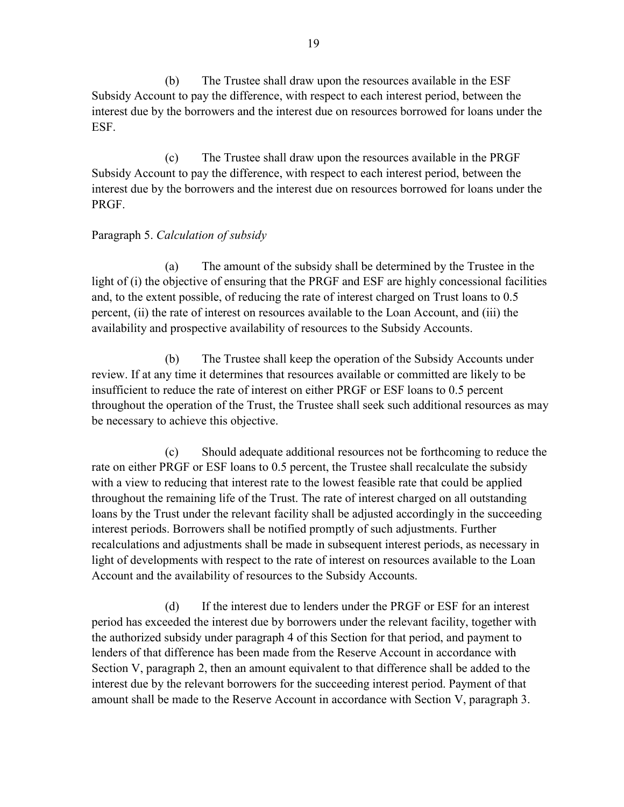(b) The Trustee shall draw upon the resources available in the ESF Subsidy Account to pay the difference, with respect to each interest period, between the interest due by the borrowers and the interest due on resources borrowed for loans under the ESF.

 (c) The Trustee shall draw upon the resources available in the PRGF Subsidy Account to pay the difference, with respect to each interest period, between the interest due by the borrowers and the interest due on resources borrowed for loans under the PRGF.

# Paragraph 5. *Calculation of subsidy*

(a) The amount of the subsidy shall be determined by the Trustee in the light of (i) the objective of ensuring that the PRGF and ESF are highly concessional facilities and, to the extent possible, of reducing the rate of interest charged on Trust loans to 0.5 percent, (ii) the rate of interest on resources available to the Loan Account, and (iii) the availability and prospective availability of resources to the Subsidy Accounts.

 (b) The Trustee shall keep the operation of the Subsidy Accounts under review. If at any time it determines that resources available or committed are likely to be insufficient to reduce the rate of interest on either PRGF or ESF loans to 0.5 percent throughout the operation of the Trust, the Trustee shall seek such additional resources as may be necessary to achieve this objective.

 (c) Should adequate additional resources not be forthcoming to reduce the rate on either PRGF or ESF loans to 0.5 percent, the Trustee shall recalculate the subsidy with a view to reducing that interest rate to the lowest feasible rate that could be applied throughout the remaining life of the Trust. The rate of interest charged on all outstanding loans by the Trust under the relevant facility shall be adjusted accordingly in the succeeding interest periods. Borrowers shall be notified promptly of such adjustments. Further recalculations and adjustments shall be made in subsequent interest periods, as necessary in light of developments with respect to the rate of interest on resources available to the Loan Account and the availability of resources to the Subsidy Accounts.

 (d) If the interest due to lenders under the PRGF or ESF for an interest period has exceeded the interest due by borrowers under the relevant facility, together with the authorized subsidy under paragraph 4 of this Section for that period, and payment to lenders of that difference has been made from the Reserve Account in accordance with Section V, paragraph 2, then an amount equivalent to that difference shall be added to the interest due by the relevant borrowers for the succeeding interest period. Payment of that amount shall be made to the Reserve Account in accordance with Section V, paragraph 3.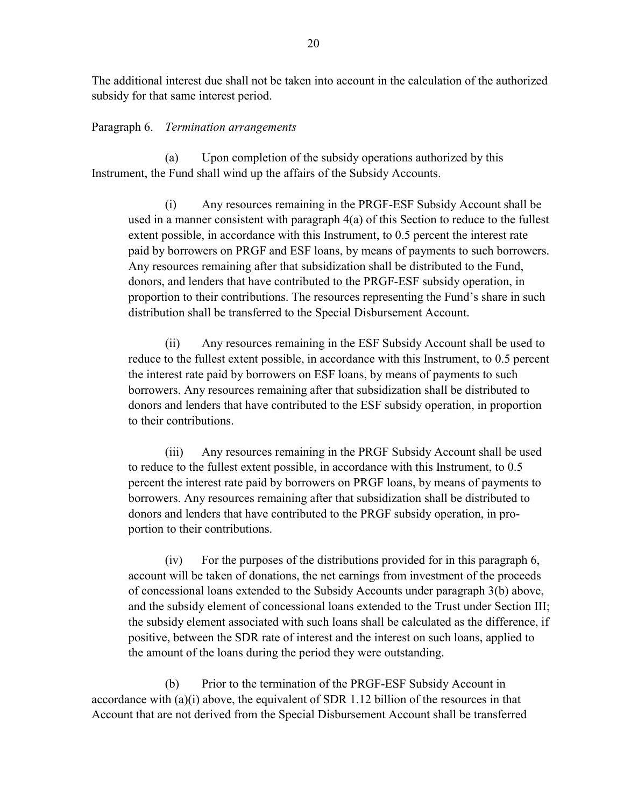The additional interest due shall not be taken into account in the calculation of the authorized subsidy for that same interest period.

#### Paragraph 6. *Termination arrangements*

(a) Upon completion of the subsidy operations authorized by this Instrument, the Fund shall wind up the affairs of the Subsidy Accounts.

 (i) Any resources remaining in the PRGF-ESF Subsidy Account shall be used in a manner consistent with paragraph 4(a) of this Section to reduce to the fullest extent possible, in accordance with this Instrument, to 0.5 percent the interest rate paid by borrowers on PRGF and ESF loans, by means of payments to such borrowers. Any resources remaining after that subsidization shall be distributed to the Fund, donors, and lenders that have contributed to the PRGF-ESF subsidy operation, in proportion to their contributions. The resources representing the Fund's share in such distribution shall be transferred to the Special Disbursement Account.

 (ii) Any resources remaining in the ESF Subsidy Account shall be used to reduce to the fullest extent possible, in accordance with this Instrument, to 0.5 percent the interest rate paid by borrowers on ESF loans, by means of payments to such borrowers. Any resources remaining after that subsidization shall be distributed to donors and lenders that have contributed to the ESF subsidy operation, in proportion to their contributions.

 (iii) Any resources remaining in the PRGF Subsidy Account shall be used to reduce to the fullest extent possible, in accordance with this Instrument, to 0.5 percent the interest rate paid by borrowers on PRGF loans, by means of payments to borrowers. Any resources remaining after that subsidization shall be distributed to donors and lenders that have contributed to the PRGF subsidy operation, in proportion to their contributions.

 (iv) For the purposes of the distributions provided for in this paragraph 6, account will be taken of donations, the net earnings from investment of the proceeds of concessional loans extended to the Subsidy Accounts under paragraph 3(b) above, and the subsidy element of concessional loans extended to the Trust under Section III; the subsidy element associated with such loans shall be calculated as the difference, if positive, between the SDR rate of interest and the interest on such loans, applied to the amount of the loans during the period they were outstanding.

 (b) Prior to the termination of the PRGF-ESF Subsidy Account in accordance with (a)(i) above, the equivalent of SDR 1.12 billion of the resources in that Account that are not derived from the Special Disbursement Account shall be transferred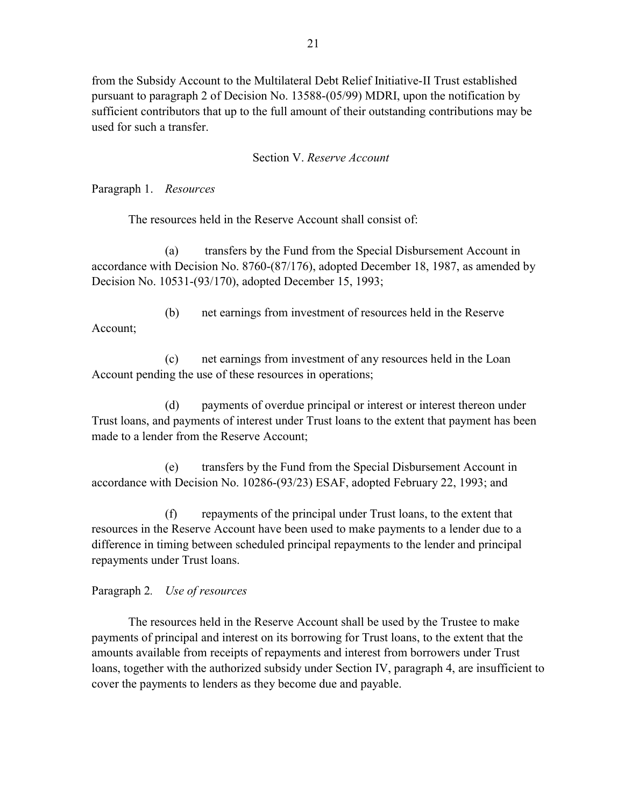from the Subsidy Account to the Multilateral Debt Relief Initiative-II Trust established pursuant to paragraph 2 of Decision No. 13588-(05/99) MDRI, upon the notification by sufficient contributors that up to the full amount of their outstanding contributions may be used for such a transfer.

### Section V. *Reserve Account*

Paragraph 1. *Resources* 

The resources held in the Reserve Account shall consist of:

 (a) transfers by the Fund from the Special Disbursement Account in accordance with Decision No. 8760-(87/176), adopted December 18, 1987, as amended by Decision No. 10531-(93/170), adopted December 15, 1993;

 (b) net earnings from investment of resources held in the Reserve Account;

 (c) net earnings from investment of any resources held in the Loan Account pending the use of these resources in operations;

(d) payments of overdue principal or interest or interest thereon under Trust loans, and payments of interest under Trust loans to the extent that payment has been made to a lender from the Reserve Account;

 (e) transfers by the Fund from the Special Disbursement Account in accordance with Decision No. 10286-(93/23) ESAF, adopted February 22, 1993; and

 (f) repayments of the principal under Trust loans, to the extent that resources in the Reserve Account have been used to make payments to a lender due to a difference in timing between scheduled principal repayments to the lender and principal repayments under Trust loans.

# Paragraph 2*. Use of resources*

The resources held in the Reserve Account shall be used by the Trustee to make payments of principal and interest on its borrowing for Trust loans, to the extent that the amounts available from receipts of repayments and interest from borrowers under Trust loans, together with the authorized subsidy under Section IV, paragraph 4, are insufficient to cover the payments to lenders as they become due and payable.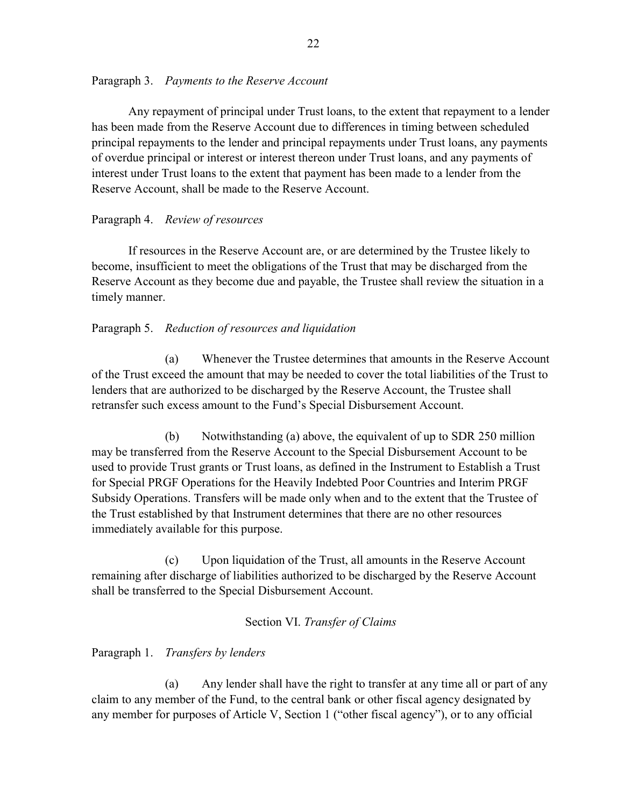### Paragraph 3. *Payments to the Reserve Account*

Any repayment of principal under Trust loans, to the extent that repayment to a lender has been made from the Reserve Account due to differences in timing between scheduled principal repayments to the lender and principal repayments under Trust loans, any payments of overdue principal or interest or interest thereon under Trust loans, and any payments of interest under Trust loans to the extent that payment has been made to a lender from the Reserve Account, shall be made to the Reserve Account.

### Paragraph 4. *Review of resources*

If resources in the Reserve Account are, or are determined by the Trustee likely to become, insufficient to meet the obligations of the Trust that may be discharged from the Reserve Account as they become due and payable, the Trustee shall review the situation in a timely manner.

### Paragraph 5. *Reduction of resources and liquidation*

(a) Whenever the Trustee determines that amounts in the Reserve Account of the Trust exceed the amount that may be needed to cover the total liabilities of the Trust to lenders that are authorized to be discharged by the Reserve Account, the Trustee shall retransfer such excess amount to the Fund's Special Disbursement Account.

 (b) Notwithstanding (a) above, the equivalent of up to SDR 250 million may be transferred from the Reserve Account to the Special Disbursement Account to be used to provide Trust grants or Trust loans, as defined in the Instrument to Establish a Trust for Special PRGF Operations for the Heavily Indebted Poor Countries and Interim PRGF Subsidy Operations. Transfers will be made only when and to the extent that the Trustee of the Trust established by that Instrument determines that there are no other resources immediately available for this purpose.

 (c) Upon liquidation of the Trust, all amounts in the Reserve Account remaining after discharge of liabilities authorized to be discharged by the Reserve Account shall be transferred to the Special Disbursement Account.

### Section VI. *Transfer of Claims*

### Paragraph 1. *Transfers by lenders*

(a) Any lender shall have the right to transfer at any time all or part of any claim to any member of the Fund, to the central bank or other fiscal agency designated by any member for purposes of Article V, Section 1 ("other fiscal agency"), or to any official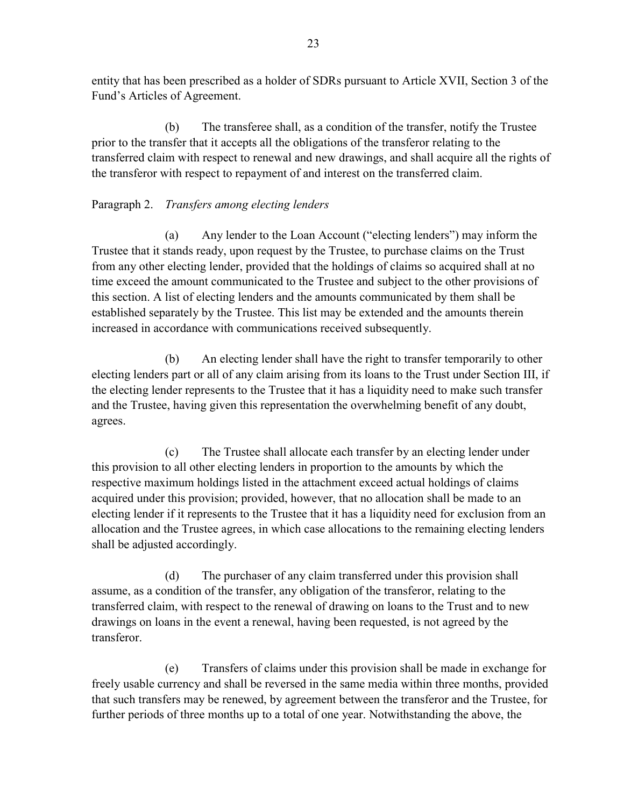entity that has been prescribed as a holder of SDRs pursuant to Article XVII, Section 3 of the Fund's Articles of Agreement.

 (b) The transferee shall, as a condition of the transfer, notify the Trustee prior to the transfer that it accepts all the obligations of the transferor relating to the transferred claim with respect to renewal and new drawings, and shall acquire all the rights of the transferor with respect to repayment of and interest on the transferred claim.

# Paragraph 2. *Transfers among electing lenders*

(a) Any lender to the Loan Account ("electing lenders") may inform the Trustee that it stands ready, upon request by the Trustee, to purchase claims on the Trust from any other electing lender, provided that the holdings of claims so acquired shall at no time exceed the amount communicated to the Trustee and subject to the other provisions of this section. A list of electing lenders and the amounts communicated by them shall be established separately by the Trustee. This list may be extended and the amounts therein increased in accordance with communications received subsequently.

 (b) An electing lender shall have the right to transfer temporarily to other electing lenders part or all of any claim arising from its loans to the Trust under Section III, if the electing lender represents to the Trustee that it has a liquidity need to make such transfer and the Trustee, having given this representation the overwhelming benefit of any doubt, agrees.

 (c) The Trustee shall allocate each transfer by an electing lender under this provision to all other electing lenders in proportion to the amounts by which the respective maximum holdings listed in the attachment exceed actual holdings of claims acquired under this provision; provided, however, that no allocation shall be made to an electing lender if it represents to the Trustee that it has a liquidity need for exclusion from an allocation and the Trustee agrees, in which case allocations to the remaining electing lenders shall be adjusted accordingly.

 (d) The purchaser of any claim transferred under this provision shall assume, as a condition of the transfer, any obligation of the transferor, relating to the transferred claim, with respect to the renewal of drawing on loans to the Trust and to new drawings on loans in the event a renewal, having been requested, is not agreed by the transferor.

 (e) Transfers of claims under this provision shall be made in exchange for freely usable currency and shall be reversed in the same media within three months, provided that such transfers may be renewed, by agreement between the transferor and the Trustee, for further periods of three months up to a total of one year. Notwithstanding the above, the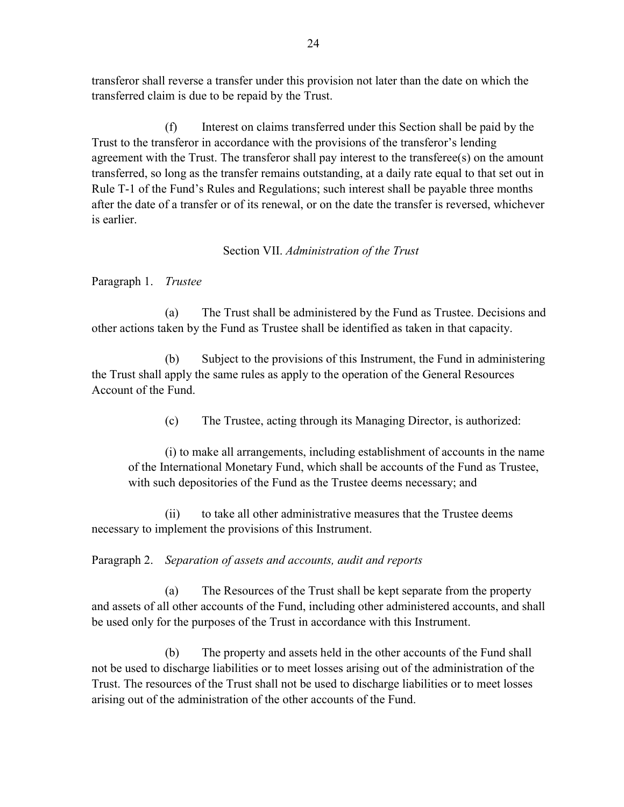transferor shall reverse a transfer under this provision not later than the date on which the transferred claim is due to be repaid by the Trust.

 (f) Interest on claims transferred under this Section shall be paid by the Trust to the transferor in accordance with the provisions of the transferor's lending agreement with the Trust. The transferor shall pay interest to the transferee(s) on the amount transferred, so long as the transfer remains outstanding, at a daily rate equal to that set out in Rule T-1 of the Fund's Rules and Regulations; such interest shall be payable three months after the date of a transfer or of its renewal, or on the date the transfer is reversed, whichever is earlier.

# Section VII. *Administration of the Trust*

Paragraph 1. *Trustee* 

(a) The Trust shall be administered by the Fund as Trustee. Decisions and other actions taken by the Fund as Trustee shall be identified as taken in that capacity.

 (b) Subject to the provisions of this Instrument, the Fund in administering the Trust shall apply the same rules as apply to the operation of the General Resources Account of the Fund.

(c) The Trustee, acting through its Managing Director, is authorized:

 (i) to make all arrangements, including establishment of accounts in the name of the International Monetary Fund, which shall be accounts of the Fund as Trustee, with such depositories of the Fund as the Trustee deems necessary; and

(ii) to take all other administrative measures that the Trustee deems necessary to implement the provisions of this Instrument.

Paragraph 2. *Separation of assets and accounts, audit and reports* 

(a) The Resources of the Trust shall be kept separate from the property and assets of all other accounts of the Fund, including other administered accounts, and shall be used only for the purposes of the Trust in accordance with this Instrument.

 (b) The property and assets held in the other accounts of the Fund shall not be used to discharge liabilities or to meet losses arising out of the administration of the Trust. The resources of the Trust shall not be used to discharge liabilities or to meet losses arising out of the administration of the other accounts of the Fund.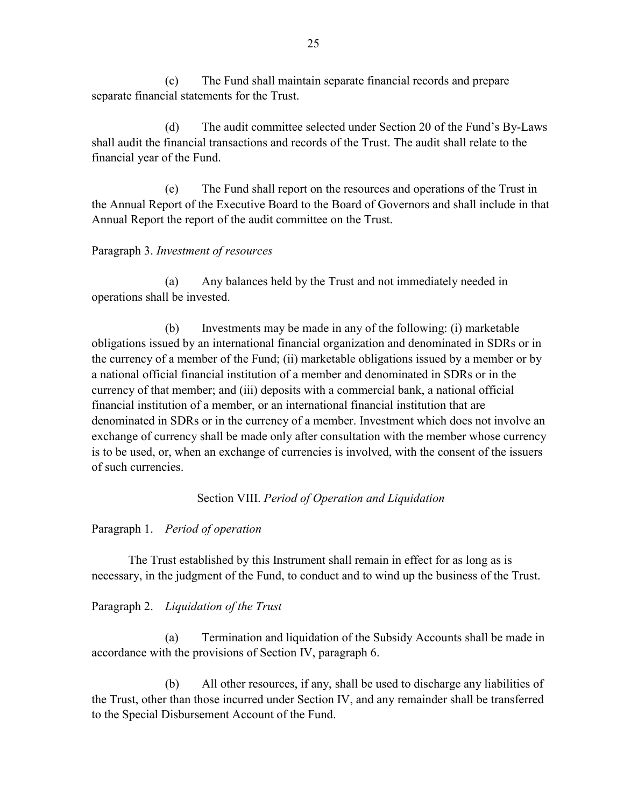(c) The Fund shall maintain separate financial records and prepare separate financial statements for the Trust.

 (d) The audit committee selected under Section 20 of the Fund's By-Laws shall audit the financial transactions and records of the Trust. The audit shall relate to the financial year of the Fund.

 (e) The Fund shall report on the resources and operations of the Trust in the Annual Report of the Executive Board to the Board of Governors and shall include in that Annual Report the report of the audit committee on the Trust.

# Paragraph 3. *Investment of resources*

(a) Any balances held by the Trust and not immediately needed in operations shall be invested.

 (b) Investments may be made in any of the following: (i) marketable obligations issued by an international financial organization and denominated in SDRs or in the currency of a member of the Fund; (ii) marketable obligations issued by a member or by a national official financial institution of a member and denominated in SDRs or in the currency of that member; and (iii) deposits with a commercial bank, a national official financial institution of a member, or an international financial institution that are denominated in SDRs or in the currency of a member. Investment which does not involve an exchange of currency shall be made only after consultation with the member whose currency is to be used, or, when an exchange of currencies is involved, with the consent of the issuers of such currencies.

# Section VIII. *Period of Operation and Liquidation*

# Paragraph 1. *Period of operation*

The Trust established by this Instrument shall remain in effect for as long as is necessary, in the judgment of the Fund, to conduct and to wind up the business of the Trust.

# Paragraph 2. *Liquidation of the Trust*

(a) Termination and liquidation of the Subsidy Accounts shall be made in accordance with the provisions of Section IV, paragraph 6.

 (b) All other resources, if any, shall be used to discharge any liabilities of the Trust, other than those incurred under Section IV, and any remainder shall be transferred to the Special Disbursement Account of the Fund.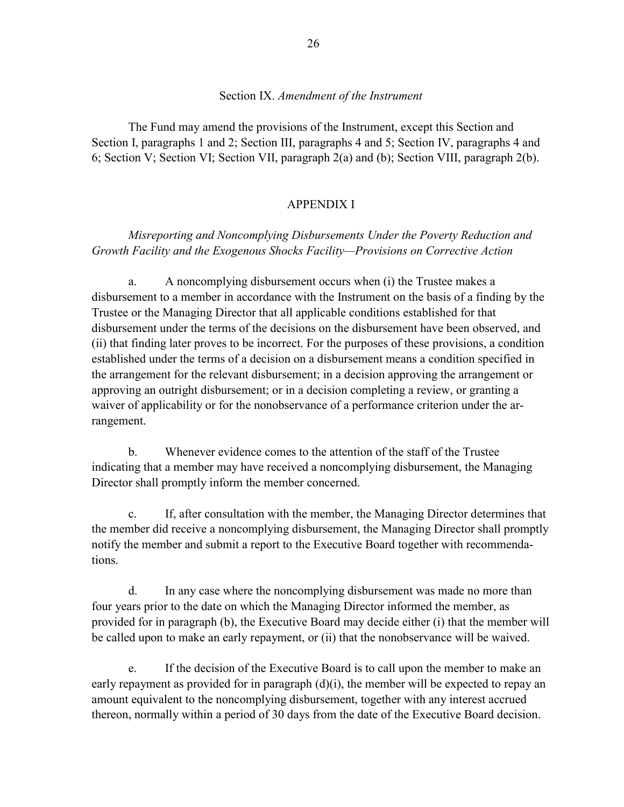### Section IX. *Amendment of the Instrument*

The Fund may amend the provisions of the Instrument, except this Section and Section I, paragraphs 1 and 2; Section III, paragraphs 4 and 5; Section IV, paragraphs 4 and 6; Section V; Section VI; Section VII, paragraph 2(a) and (b); Section VIII, paragraph 2(b).

### APPENDIX I

# *Misreporting and Noncomplying Disbursements Under the Poverty Reduction and Growth Facility and the Exogenous Shocks Facility—Provisions on Corrective Action*

a. A noncomplying disbursement occurs when (i) the Trustee makes a disbursement to a member in accordance with the Instrument on the basis of a finding by the Trustee or the Managing Director that all applicable conditions established for that disbursement under the terms of the decisions on the disbursement have been observed, and (ii) that finding later proves to be incorrect. For the purposes of these provisions, a condition established under the terms of a decision on a disbursement means a condition specified in the arrangement for the relevant disbursement; in a decision approving the arrangement or approving an outright disbursement; or in a decision completing a review, or granting a waiver of applicability or for the nonobservance of a performance criterion under the arrangement.

b. Whenever evidence comes to the attention of the staff of the Trustee indicating that a member may have received a noncomplying disbursement, the Managing Director shall promptly inform the member concerned.

c. If, after consultation with the member, the Managing Director determines that the member did receive a noncomplying disbursement, the Managing Director shall promptly notify the member and submit a report to the Executive Board together with recommendations.

 d. In any case where the noncomplying disbursement was made no more than four years prior to the date on which the Managing Director informed the member, as provided for in paragraph (b), the Executive Board may decide either (i) that the member will be called upon to make an early repayment, or (ii) that the nonobservance will be waived.

 e. If the decision of the Executive Board is to call upon the member to make an early repayment as provided for in paragraph (d)(i), the member will be expected to repay an amount equivalent to the noncomplying disbursement, together with any interest accrued thereon, normally within a period of 30 days from the date of the Executive Board decision.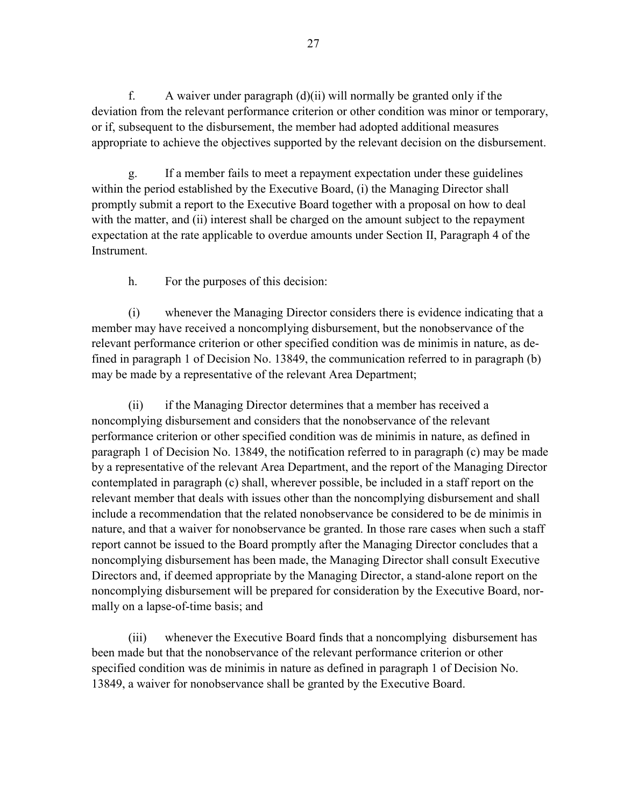f. A waiver under paragraph  $(d)(ii)$  will normally be granted only if the deviation from the relevant performance criterion or other condition was minor or temporary, or if, subsequent to the disbursement, the member had adopted additional measures appropriate to achieve the objectives supported by the relevant decision on the disbursement.

 g. If a member fails to meet a repayment expectation under these guidelines within the period established by the Executive Board, (i) the Managing Director shall promptly submit a report to the Executive Board together with a proposal on how to deal with the matter, and (ii) interest shall be charged on the amount subject to the repayment expectation at the rate applicable to overdue amounts under Section II, Paragraph 4 of the **Instrument** 

h. For the purposes of this decision:

 (i) whenever the Managing Director considers there is evidence indicating that a member may have received a noncomplying disbursement, but the nonobservance of the relevant performance criterion or other specified condition was de minimis in nature, as defined in paragraph 1 of Decision No. 13849, the communication referred to in paragraph (b) may be made by a representative of the relevant Area Department;

 (ii) if the Managing Director determines that a member has received a noncomplying disbursement and considers that the nonobservance of the relevant performance criterion or other specified condition was de minimis in nature, as defined in paragraph 1 of Decision No. 13849, the notification referred to in paragraph (c) may be made by a representative of the relevant Area Department, and the report of the Managing Director contemplated in paragraph (c) shall, wherever possible, be included in a staff report on the relevant member that deals with issues other than the noncomplying disbursement and shall include a recommendation that the related nonobservance be considered to be de minimis in nature, and that a waiver for nonobservance be granted. In those rare cases when such a staff report cannot be issued to the Board promptly after the Managing Director concludes that a noncomplying disbursement has been made, the Managing Director shall consult Executive Directors and, if deemed appropriate by the Managing Director, a stand-alone report on the noncomplying disbursement will be prepared for consideration by the Executive Board, normally on a lapse-of-time basis; and

 (iii) whenever the Executive Board finds that a noncomplying disbursement has been made but that the nonobservance of the relevant performance criterion or other specified condition was de minimis in nature as defined in paragraph 1 of Decision No. 13849, a waiver for nonobservance shall be granted by the Executive Board.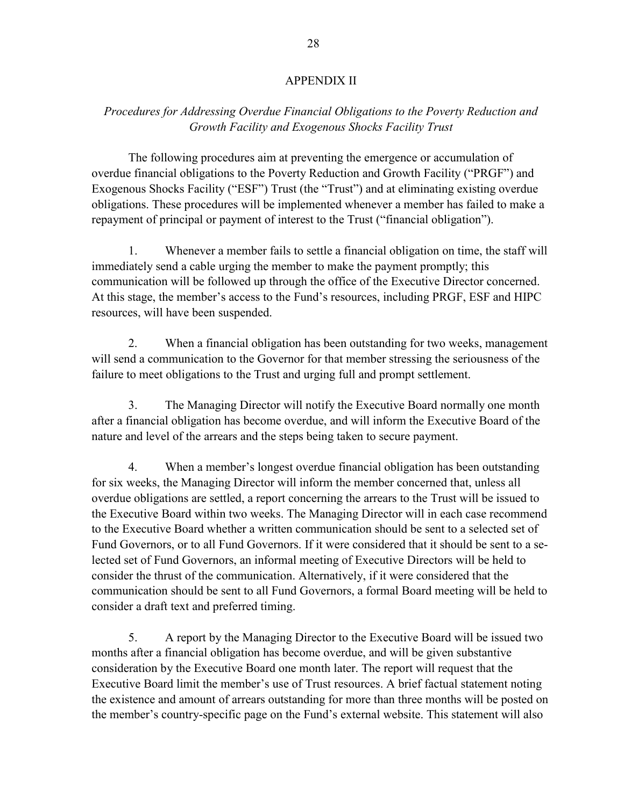#### APPENDIX II

## *Procedures for Addressing Overdue Financial Obligations to the Poverty Reduction and Growth Facility and Exogenous Shocks Facility Trust*

The following procedures aim at preventing the emergence or accumulation of overdue financial obligations to the Poverty Reduction and Growth Facility ("PRGF") and Exogenous Shocks Facility ("ESF") Trust (the "Trust") and at eliminating existing overdue obligations. These procedures will be implemented whenever a member has failed to make a repayment of principal or payment of interest to the Trust ("financial obligation").

 1. Whenever a member fails to settle a financial obligation on time, the staff will immediately send a cable urging the member to make the payment promptly; this communication will be followed up through the office of the Executive Director concerned. At this stage, the member's access to the Fund's resources, including PRGF, ESF and HIPC resources, will have been suspended.

 2. When a financial obligation has been outstanding for two weeks, management will send a communication to the Governor for that member stressing the seriousness of the failure to meet obligations to the Trust and urging full and prompt settlement.

 3. The Managing Director will notify the Executive Board normally one month after a financial obligation has become overdue, and will inform the Executive Board of the nature and level of the arrears and the steps being taken to secure payment.

 4. When a member's longest overdue financial obligation has been outstanding for six weeks, the Managing Director will inform the member concerned that, unless all overdue obligations are settled, a report concerning the arrears to the Trust will be issued to the Executive Board within two weeks. The Managing Director will in each case recommend to the Executive Board whether a written communication should be sent to a selected set of Fund Governors, or to all Fund Governors. If it were considered that it should be sent to a selected set of Fund Governors, an informal meeting of Executive Directors will be held to consider the thrust of the communication. Alternatively, if it were considered that the communication should be sent to all Fund Governors, a formal Board meeting will be held to consider a draft text and preferred timing.

 5. A report by the Managing Director to the Executive Board will be issued two months after a financial obligation has become overdue, and will be given substantive consideration by the Executive Board one month later. The report will request that the Executive Board limit the member's use of Trust resources. A brief factual statement noting the existence and amount of arrears outstanding for more than three months will be posted on the member's country-specific page on the Fund's external website. This statement will also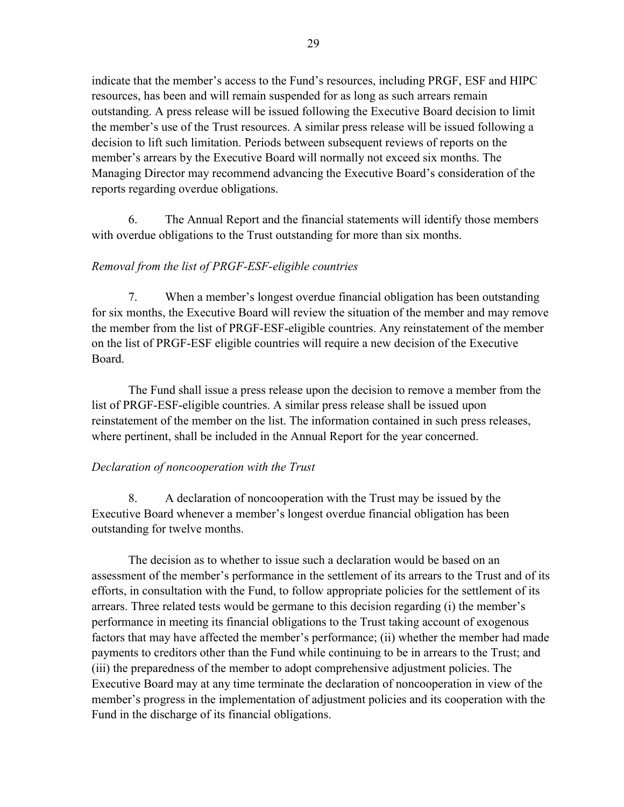indicate that the member's access to the Fund's resources, including PRGF, ESF and HIPC resources, has been and will remain suspended for as long as such arrears remain outstanding. A press release will be issued following the Executive Board decision to limit the member's use of the Trust resources. A similar press release will be issued following a decision to lift such limitation. Periods between subsequent reviews of reports on the member's arrears by the Executive Board will normally not exceed six months. The Managing Director may recommend advancing the Executive Board's consideration of the reports regarding overdue obligations.

 6. The Annual Report and the financial statements will identify those members with overdue obligations to the Trust outstanding for more than six months.

# *Removal from the list of PRGF-ESF-eligible countries*

7. When a member's longest overdue financial obligation has been outstanding for six months, the Executive Board will review the situation of the member and may remove the member from the list of PRGF-ESF-eligible countries. Any reinstatement of the member on the list of PRGF-ESF eligible countries will require a new decision of the Executive Board.

 The Fund shall issue a press release upon the decision to remove a member from the list of PRGF-ESF-eligible countries. A similar press release shall be issued upon reinstatement of the member on the list. The information contained in such press releases, where pertinent, shall be included in the Annual Report for the year concerned.

# *Declaration of noncooperation with the Trust*

8. A declaration of noncooperation with the Trust may be issued by the Executive Board whenever a member's longest overdue financial obligation has been outstanding for twelve months.

The decision as to whether to issue such a declaration would be based on an assessment of the member's performance in the settlement of its arrears to the Trust and of its efforts, in consultation with the Fund, to follow appropriate policies for the settlement of its arrears. Three related tests would be germane to this decision regarding (i) the member's performance in meeting its financial obligations to the Trust taking account of exogenous factors that may have affected the member's performance; (ii) whether the member had made payments to creditors other than the Fund while continuing to be in arrears to the Trust; and (iii) the preparedness of the member to adopt comprehensive adjustment policies. The Executive Board may at any time terminate the declaration of noncooperation in view of the member's progress in the implementation of adjustment policies and its cooperation with the Fund in the discharge of its financial obligations.